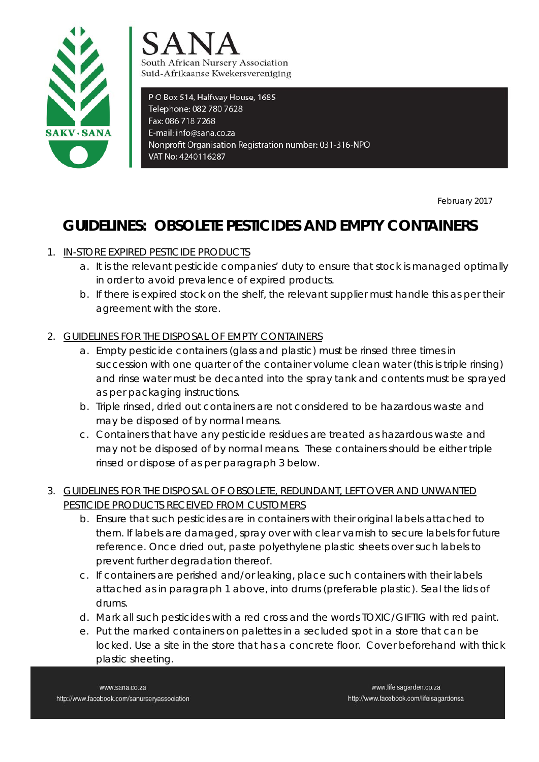



PO Box 514, Halfway House, 1685 Telephone: 082 780 7628 Fax: 086 718 7268 E-mail: info@sana.co.za Nonprofit Organisation Registration number: 031-316-NPO VAT No: 4240116287

**Produced as a strategies of the strategies of the February 2017** 

## **GUIDELINES: OBSOLETE PESTICIDES AND EMPTY CONTAINERS**

## 1. IN-STORE EXPIRED PESTICIDE PRODUCTS

- a. It is the relevant pesticide companies' duty to ensure that stock is managed optimally in order to avoid prevalence of expired products.
- b. If there is expired stock on the shelf, the relevant supplier must handle this as per their agreement with the store.
- 2. GUIDELINES FOR THE DISPOSAL OF EMPTY CONTAINERS
	- a. Empty pesticide containers (glass and plastic) must be rinsed three times in succession with one quarter of the container volume clean water (this is triple rinsing) and rinse water must be decanted into the spray tank and contents must be sprayed as per packaging instructions.
	- b. Triple rinsed, dried out containers are not considered to be hazardous waste and may be disposed of by normal means.
	- c. Containers that have any pesticide residues are treated as hazardous waste and may not be disposed of by normal means. These containers should be either triple rinsed or dispose of as per paragraph 3 below.

## 3. GUIDELINES FOR THE DISPOSAL OF OBSOLETE, REDUNDANT, LEFT OVER AND UNWANTED PESTICIDE PRODUCTS RECEIVED FROM CUSTOMERS

- b. Ensure that such pesticides are in containers with their original labels attached to them. If labels are damaged, spray over with clear varnish to secure labels for future reference. Once dried out, paste polyethylene plastic sheets over such labels to prevent further degradation thereof.
- c. If containers are perished and/or leaking, place such containers with their labels attached as in paragraph 1 above, into drums (preferable plastic). Seal the lids of drums.
- d. Mark all such pesticides with a red cross and the words TOXIC/GIFTIG with red paint.
- e. Put the marked containers on palettes in a secluded spot in a store that can be locked. Use a site in the store that has a concrete floor. Cover beforehand with thick plastic sheeting.